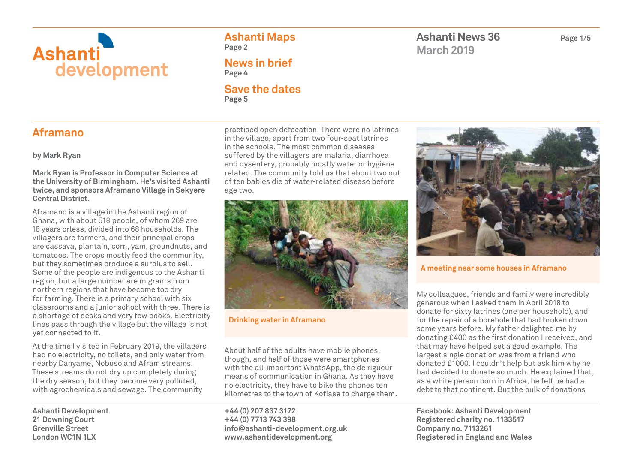

**Ashanti Maps Page 2**

**News in brief Page 4**

#### **Save the dates Page 5**

**Ashanti News 36 Page 1/5 March 2019**

### **Aframano**

**by Mark Ryan**

**Mark Ryan is Professor in Computer Science at the University of Birmingham. He's visited Ashanti twice, and sponsors Aframano Village in Sekyere Central District.** 

Aframano is a village in the Ashanti region of Ghana, with about 518 people, of whom 269 are 18 years orless, divided into 68 households. The villagers are farmers, and their principal crops are cassava, plantain, corn, yam, groundnuts, and tomatoes. The crops mostly feed the community, but they sometimes produce a surplus to sell. Some of the people are indigenous to the Ashanti region, but a large number are migrants from northern regions that have become too dry for farming. There is a primary school with six classrooms and a junior school with three. There is a shortage of desks and very few books. Electricity lines pass through the village but the village is not yet connected to it.

At the time I visited in February 2019, the villagers had no electricity, no toilets, and only water from nearby Danyame, Nobuso and Afram streams. These streams do not dry up completely during the dry season, but they become very polluted, with agrochemicals and sewage. The community

**Ashanti Development 21 Downing Court Grenville Street London WC1N 1LX**

practised open defecation. There were no latrines in the village, apart from two four-seat latrines in the schools. The most common diseases suffered by the villagers are malaria, diarrhoea and dysentery, probably mostly water or hygiene related. The community told us that about two out of ten babies die of water-related disease before age two.



**Drinking water in Aframano**

About half of the adults have mobile phones, though, and half of those were smartphones with the all-important WhatsApp, the de rigueur means of communication in Ghana. As they have no electricity, they have to bike the phones ten kilometres to the town of Kofiase to charge them.

**+44 (0) 207 837 3172 +44 (0) 7713 743 398 info@ashanti-development.org.uk www.ashantidevelopment.org**



**A meeting near some houses in Aframano**

My colleagues, friends and family were incredibly generous when I asked them in April 2018 to donate for sixty latrines (one per household), and for the repair of a borehole that had broken down some years before. My father delighted me by donating £400 as the first donation I received, and that may have helped set a good example. The largest single donation was from a friend who donated £1000. I couldn't help but ask him why he had decided to donate so much. He explained that, as a white person born in Africa, he felt he had a debt to that continent. But the bulk of donations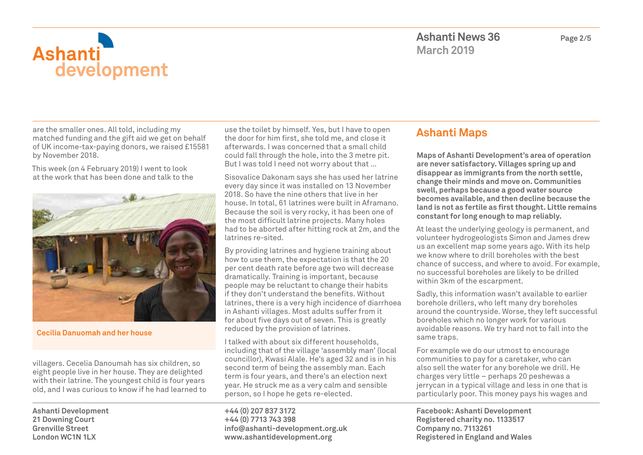

are the smaller ones. All told, including my matched funding and the gift aid we get on behalf of UK income-tax-paying donors, we raised £15581 by November 2018.

This week (on 4 February 2019) I went to look at the work that has been done and talk to the



**Cecilia Danuomah and her house**

villagers. Cecelia Danoumah has six children, so eight people live in her house. They are delighted with their latrine. The youngest child is four years old, and I was curious to know if he had learned to

**Ashanti Development 21 Downing Court Grenville Street London WC1N 1LX**

use the toilet by himself. Yes, but I have to open the door for him first, she told me, and close it afterwards. I was concerned that a small child could fall through the hole, into the 3 metre pit. But I was told I need not worry about that …

Sisovalice Dakonam says she has used her latrine every day since it was installed on 13 November 2018. So have the nine others that live in her house. In total, 61 latrines were built in Aframano. Because the soil is very rocky, it has been one of the most difficult latrine projects. Many holes had to be aborted after hitting rock at 2m, and the latrines re-sited.

By providing latrines and hygiene training about how to use them, the expectation is that the 20 per cent death rate before age two will decrease dramatically. Training is important, because people may be reluctant to change their habits if they don't understand the benefits. Without latrines, there is a very high incidence of diarrhoea in Ashanti villages. Most adults suffer from it for about five days out of seven. This is greatly reduced by the provision of latrines.

I talked with about six different households, including that of the village 'assembly man' (local councillor), Kwasi Alale. He's aged 32 and is in his second term of being the assembly man. Each term is four years, and there's an election next year. He struck me as a very calm and sensible person, so I hope he gets re-elected.

**+44 (0) 207 837 3172 +44 (0) 7713 743 398 info@ashanti-development.org.uk www.ashantidevelopment.org**

## **Ashanti Maps**

**Maps of Ashanti Development's area of operation are never satisfactory. Villages spring up and disappear as immigrants from the north settle, change their minds and move on. Communities swell, perhaps because a good water source becomes available, and then decline because the land is not as fertile as first thought. Little remains constant for long enough to map reliably.**

At least the underlying geology is permanent, and volunteer hydrogeologists Simon and James drew us an excellent map some years ago. With its help we know where to drill boreholes with the best chance of success, and where to avoid. For example, no successful boreholes are likely to be drilled within 3km of the escarpment.

Sadly, this information wasn't available to earlier borehole drillers, who left many dry boreholes around the countryside. Worse, they left successful boreholes which no longer work for various avoidable reasons. We try hard not to fall into the same traps.

For example we do our utmost to encourage communities to pay for a caretaker, who can also sell the water for any borehole we drill. He charges very little – perhaps 20 peshewas a jerrycan in a typical village and less in one that is particularly poor. This money pays his wages and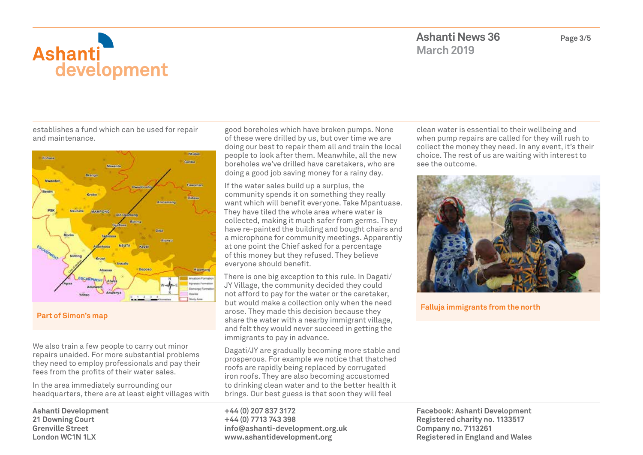

establishes a fund which can be used for repair and maintenance.



**Part of Simon's map**

We also train a few people to carry out minor repairs unaided. For more substantial problems they need to employ professionals and pay their fees from the profits of their water sales.

In the area immediately surrounding our headquarters, there are at least eight villages with

**Ashanti Development 21 Downing Court Grenville Street London WC1N 1LX**

good boreholes which have broken pumps. None of these were drilled by us, but over time we are doing our best to repair them all and train the local people to look after them. Meanwhile, all the new boreholes we've drilled have caretakers, who are doing a good job saving money for a rainy day.

If the water sales build up a surplus, the community spends it on something they really want which will benefit everyone. Take Mpantuase. They have tiled the whole area where water is collected, making it much safer from germs. They have re-painted the building and bought chairs and a microphone for community meetings. Apparently at one point the Chief asked for a percentage of this money but they refused. They believe everyone should benefit.

There is one big exception to this rule. In Dagati/ JY Village, the community decided they could not afford to pay for the water or the caretaker, but would make a collection only when the need arose. They made this decision because they share the water with a nearby immigrant village, and felt they would never succeed in getting the immigrants to pay in advance.

Dagati/JY are gradually becoming more stable and prosperous. For example we notice that thatched roofs are rapidly being replaced by corrugated iron roofs. They are also becoming accustomed to drinking clean water and to the better health it brings. Our best guess is that soon they will feel

**+44 (0) 207 837 3172 +44 (0) 7713 743 398 info@ashanti-development.org.uk www.ashantidevelopment.org**

clean water is essential to their wellbeing and when pump repairs are called for they will rush to collect the money they need. In any event, it's their choice. The rest of us are waiting with interest to see the outcome.



**Falluja immigrants from the north**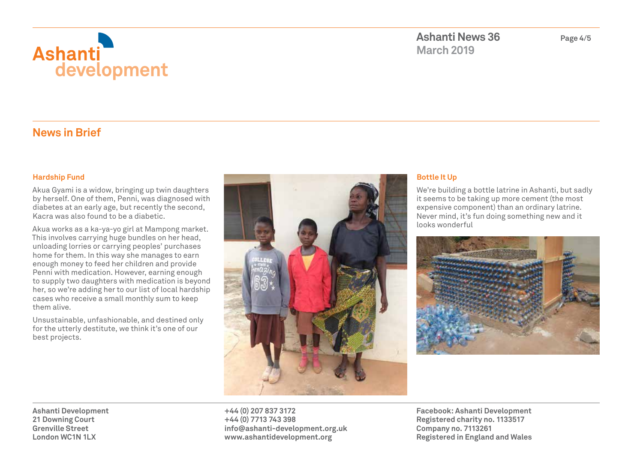

**Ashanti News 36 Page 4/5 March 2019**

### **News in Brief**

#### **Hardship Fund**

Akua Gyami is a widow, bringing up twin daughters by herself. One of them, Penni, was diagnosed with diabetes at an early age, but recently the second, Kacra was also found to be a diabetic.

Akua works as a ka-ya-yo girl at Mampong market. This involves carrying huge bundles on her head, unloading lorries or carrying peoples' purchases home for them. In this way she manages to earn enough money to feed her children and provide Penni with medication. However, earning enough to supply two daughters with medication is beyond her, so we're adding her to our list of local hardship cases who receive a small monthly sum to keep them alive.

Unsustainable, unfashionable, and destined only for the utterly destitute, we think it's one of our best projects.



#### **Bottle It Up**

We're building a bottle latrine in Ashanti, but sadly it seems to be taking up more cement (the most expensive component) than an ordinary latrine. Never mind, it's fun doing something new and it looks wonderful



**Ashanti Development 21 Downing Court Grenville Street London WC1N 1LX**

**+44 (0) 207 837 3172 +44 (0) 7713 743 398 info@ashanti-development.org.uk www.ashantidevelopment.org**